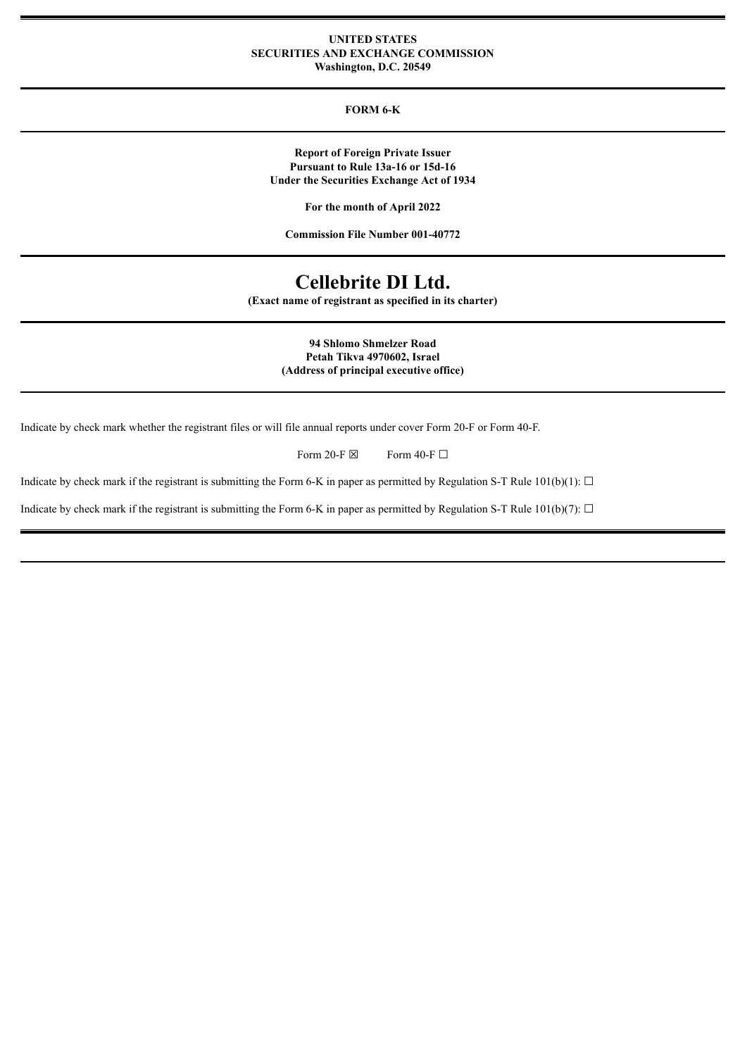#### **UNITED STATES SECURITIES AND EXCHANGE COMMISSION Washington, D.C. 20549**

## **FORM 6-K**

**Report of Foreign Private Issuer Pursuant to Rule 13a-16 or 15d-16 Under the Securities Exchange Act of 1934**

**For the month of April 2022**

**Commission File Number 001-40772**

# **Cellebrite DI Ltd.**

**(Exact name of registrant as specified in its charter)**

**94 Shlomo Shmelzer Road Petah Tikva 4970602, Israel (Address of principal executive office)**

Indicate by check mark whether the registrant files or will file annual reports under cover Form 20-F or Form 40-F.

Form 20-F  $\boxtimes$  Form 40-F  $\Box$ 

Indicate by check mark if the registrant is submitting the Form 6-K in paper as permitted by Regulation S-T Rule  $101(b)(1)$ :  $\Box$ 

Indicate by check mark if the registrant is submitting the Form 6-K in paper as permitted by Regulation S-T Rule 101(b)(7):  $\Box$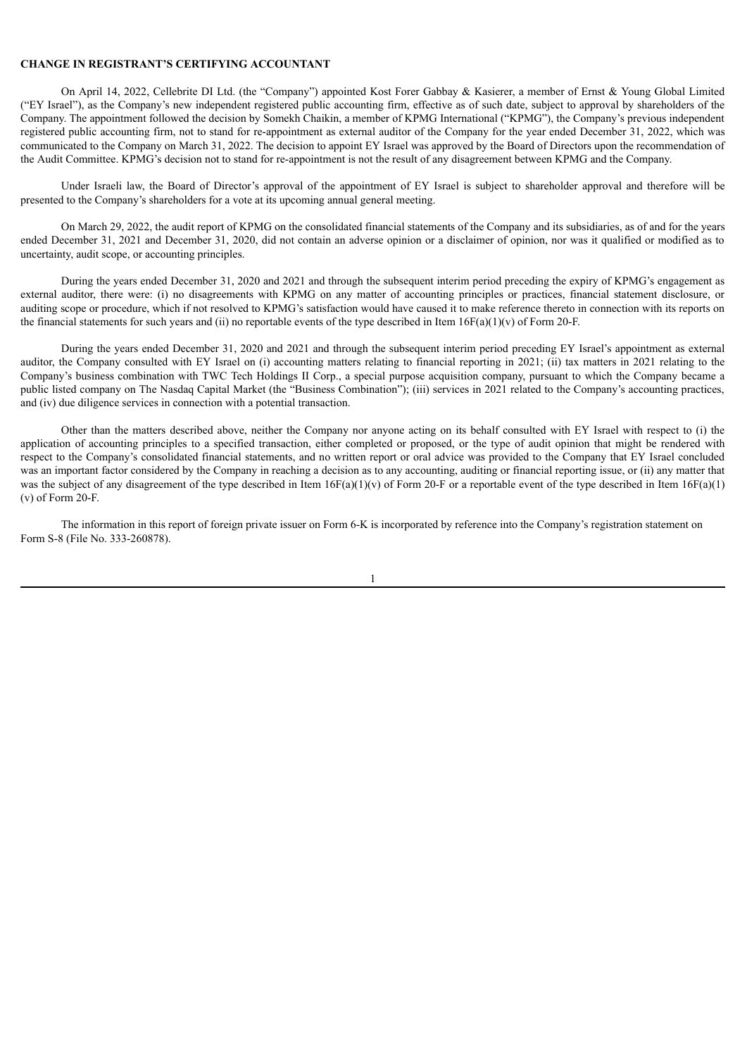#### **CHANGE IN REGISTRANT'S CERTIFYING ACCOUNTANT**

On April 14, 2022, Cellebrite DI Ltd. (the "Company") appointed Kost Forer Gabbay & Kasierer, a member of Ernst & Young Global Limited ("EY Israel"), as the Company's new independent registered public accounting firm, effective as of such date, subject to approval by shareholders of the Company. The appointment followed the decision by Somekh Chaikin, a member of KPMG International ("KPMG"), the Company's previous independent registered public accounting firm, not to stand for re-appointment as external auditor of the Company for the year ended December 31, 2022, which was communicated to the Company on March 31, 2022. The decision to appoint EY Israel was approved by the Board of Directors upon the recommendation of the Audit Committee. KPMG's decision not to stand for re-appointment is not the result of any disagreement between KPMG and the Company.

Under Israeli law, the Board of Director's approval of the appointment of EY Israel is subject to shareholder approval and therefore will be presented to the Company's shareholders for a vote at its upcoming annual general meeting.

On March 29, 2022, the audit report of KPMG on the consolidated financial statements of the Company and its subsidiaries, as of and for the years ended December 31, 2021 and December 31, 2020, did not contain an adverse opinion or a disclaimer of opinion, nor was it qualified or modified as to uncertainty, audit scope, or accounting principles.

During the years ended December 31, 2020 and 2021 and through the subsequent interim period preceding the expiry of KPMG's engagement as external auditor, there were: (i) no disagreements with KPMG on any matter of accounting principles or practices, financial statement disclosure, or auditing scope or procedure, which if not resolved to KPMG's satisfaction would have caused it to make reference thereto in connection with its reports on the financial statements for such years and (ii) no reportable events of the type described in Item  $16F(a)(1)(v)$  of Form 20-F.

During the years ended December 31, 2020 and 2021 and through the subsequent interim period preceding EY Israel's appointment as external auditor, the Company consulted with EY Israel on (i) accounting matters relating to financial reporting in 2021; (ii) tax matters in 2021 relating to the Company's business combination with TWC Tech Holdings II Corp., a special purpose acquisition company, pursuant to which the Company became a public listed company on The Nasdaq Capital Market (the "Business Combination"); (iii) services in 2021 related to the Company's accounting practices, and (iv) due diligence services in connection with a potential transaction.

Other than the matters described above, neither the Company nor anyone acting on its behalf consulted with EY Israel with respect to (i) the application of accounting principles to a specified transaction, either completed or proposed, or the type of audit opinion that might be rendered with respect to the Company's consolidated financial statements, and no written report or oral advice was provided to the Company that EY Israel concluded was an important factor considered by the Company in reaching a decision as to any accounting, auditing or financial reporting issue, or (ii) any matter that was the subject of any disagreement of the type described in Item  $16F(a)(1)(v)$  of Form 20-F or a reportable event of the type described in Item  $16F(a)(1)$ (v) of Form 20-F.

The information in this report of foreign private issuer on Form 6-K is incorporated by reference into the Company's registration statement on Form S-8 (File No. 333-260878).

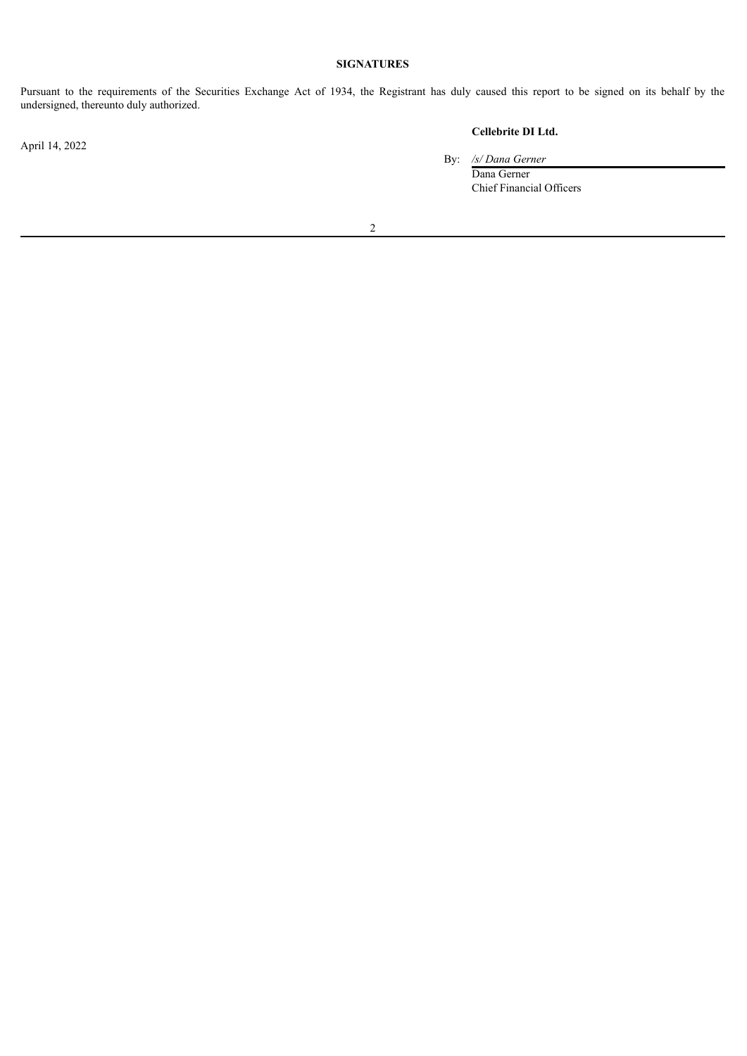# **SIGNATURES**

Pursuant to the requirements of the Securities Exchange Act of 1934, the Registrant has duly caused this report to be signed on its behalf by the undersigned, thereunto duly authorized.

April 14, 2022

# **Cellebrite DI Ltd.**

By: */s/ Dana Gerner*

Dana Gerner Chief Financial Officers

2